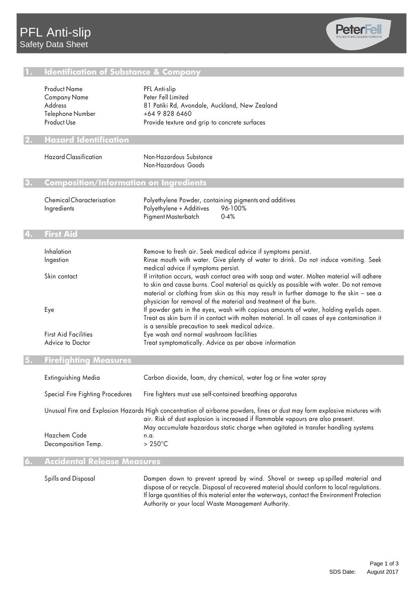

### **1. Identification of Substance & Company**

|                                        | <b>Product Name</b><br>Company Name<br><b>Address</b> | PFL Anti-slip<br>Peter Fell Limited<br>81 Patiki Rd, Avondale, Auckland, New Zealand                                                                                                                                                                                                                                                               |
|----------------------------------------|-------------------------------------------------------|----------------------------------------------------------------------------------------------------------------------------------------------------------------------------------------------------------------------------------------------------------------------------------------------------------------------------------------------------|
|                                        | Telephone Number                                      | +64 9 828 6460                                                                                                                                                                                                                                                                                                                                     |
|                                        | Product Use                                           | Provide texture and grip to concrete surfaces                                                                                                                                                                                                                                                                                                      |
|                                        | <b>Hazard Identification</b>                          |                                                                                                                                                                                                                                                                                                                                                    |
|                                        | <b>Hazard Classification</b>                          | Non-Hazardous Substance<br>Non-Hazardous Goods                                                                                                                                                                                                                                                                                                     |
| Composition/Information on Ingredients |                                                       |                                                                                                                                                                                                                                                                                                                                                    |
|                                        | Chemical Characterisation<br>Ingredients              | Polyethylene Powder, containing pigments and additives<br>Polyethylene + Additives<br>96-100%<br>0.4%<br>Pigment Masterbatch                                                                                                                                                                                                                       |
|                                        | <b>First Aid</b>                                      |                                                                                                                                                                                                                                                                                                                                                    |
|                                        | Inhalation                                            | Remove to fresh air. Seek medical advice if symptoms persist.                                                                                                                                                                                                                                                                                      |
|                                        | Ingestion                                             | Rinse mouth with water. Give plenty of water to drink. Do not induce vomiting. Seek<br>medical advice if symptoms persist.                                                                                                                                                                                                                         |
|                                        | Skin contact                                          | If irritation occurs, wash contact area with soap and water. Molten material will adhere<br>to skin and cause burns. Cool material as quickly as possible with water. Do not remove<br>material or clothing from skin as this may result in further damage to the skin - see a<br>physician for removal of the material and treatment of the burn. |
|                                        | Eye                                                   | If powder gets in the eyes, wash with copious amounts of water, holding eyelids open.<br>Treat as skin burn if in contact with molten material. In all cases of eye contamination it<br>is a sensible precaution to seek medical advice.                                                                                                           |
|                                        | <b>First Aid Facilities</b>                           | Eye wash and normal washroom facilities                                                                                                                                                                                                                                                                                                            |
|                                        | Advice to Doctor                                      | Treat symptomatically. Advice as per above information                                                                                                                                                                                                                                                                                             |
|                                        | Firefighting Measures                                 |                                                                                                                                                                                                                                                                                                                                                    |

| Extinguishing Media                                                                                                                                                                                                                                                                               | Carbon dioxide, foam, dry chemical, water fog or fine water spray |
|---------------------------------------------------------------------------------------------------------------------------------------------------------------------------------------------------------------------------------------------------------------------------------------------------|-------------------------------------------------------------------|
| Special Fire Fighting Procedures                                                                                                                                                                                                                                                                  | Fire fighters must use self-contained breathing apparatus         |
| Unusual Fire and Explosion Hazards High concentration of airborne powders, fines or dust may form explosive mixtures with<br>air. Risk of dust explosion is increased if flammable vapours are also present.<br>May accumulate hazardous static charge when agitated in transfer handling systems |                                                                   |
| Hazchem Code<br>Decomposition Temp.                                                                                                                                                                                                                                                               | n.a.<br>$>250^{\circ}$ C                                          |

#### **6. Accidental Release Measures**

Spills and Disposal **Dampen down to prevent spread by wind.** Shovel or sweep up spilled material and dispose of or recycle. Disposal of recovered material should conform to local regulations. If large quantities of this material enter the waterways, contact the Environment Protection Authority or your local Waste Management Authority.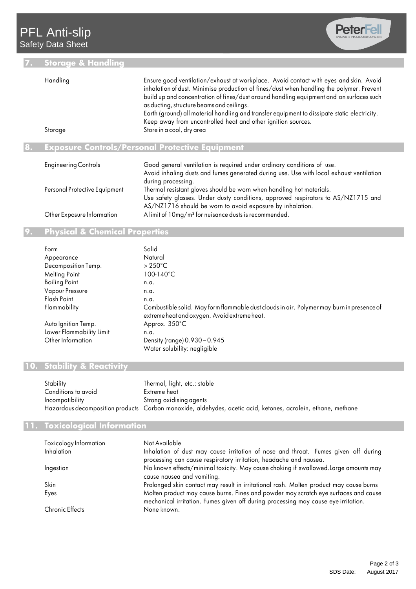# **7. Storage & Handling**



| Handling | Ensure good ventilation/exhaust at workplace. Avoid contact with eyes and skin. Avoid        |
|----------|----------------------------------------------------------------------------------------------|
|          | inhalation of dust. Minimise production of fines/dust when handling the polymer. Prevent     |
|          | build up and concentration of fines/dust around handling equipment and on surfaces such      |
|          | as ducting, structure beams and ceilings.                                                    |
|          | Earth (ground) all material handling and transfer equipment to dissipate static electricity. |
|          | Keep away from uncontrolled heat and other ignition sources.                                 |
| Storage  | Store in a cool, dry area                                                                    |
|          |                                                                                              |

## **8. Exposure Controls/Personal Protective Equipment**

| <b>Engineering Controls</b>   | Good general ventilation is required under ordinary conditions of use.<br>Avoid inhaling dusts and fumes generated during use. Use with local exhaust ventilation<br>during processing.                                |
|-------------------------------|------------------------------------------------------------------------------------------------------------------------------------------------------------------------------------------------------------------------|
| Personal Protective Equipment | Thermal resistant gloves should be worn when handling hot materials.<br>Use safety glasses. Under dusty conditions, approved respirators to AS/NZ1715 and<br>AS/NZ1716 should be worn to avoid exposure by inhalation. |
| Other Exposure Information    | A limit of 10mg/m <sup>3</sup> for nuisance dusts is recommended.                                                                                                                                                      |

## **9. Physical & Chemical Properties**

| Form                     | Solid                                                                                                                                     |
|--------------------------|-------------------------------------------------------------------------------------------------------------------------------------------|
| Appearance               | Natural                                                                                                                                   |
| Decomposition Temp.      | $>250^{\circ}$ C                                                                                                                          |
| Melting Point            | $100 - 140^{\circ}$ C                                                                                                                     |
| <b>Boiling Point</b>     | n.a.                                                                                                                                      |
| <b>Vapour Pressure</b>   | n.a.                                                                                                                                      |
| Flash Point              | n.a.                                                                                                                                      |
| Flammability             | Combustible solid. May form flammable dust clouds in air. Polymer may burn in presence of<br>extreme heat and oxygen. Avoid extreme heat. |
| Auto Ignition Temp.      | Approx. 350°C                                                                                                                             |
| Lower Flammability Limit | n.a.                                                                                                                                      |
| Other Information        | Density (range) 0.930-0.945                                                                                                               |
|                          | Water solubility: negligible                                                                                                              |

# **10. Stability & Reactivity**

| Stability           | Thermal, light, etc.: stable                                                                                 |
|---------------------|--------------------------------------------------------------------------------------------------------------|
| Conditions to avoid | Extreme heat                                                                                                 |
| Incompatibility     | Strong oxidising agents                                                                                      |
|                     | Hazardous decomposition products Carbon monoxide, aldehydes, acetic acid, ketones, acrolein, ethane, methane |

### **11. Toxicological Information**

| Toxicology Information | Not Available                                                                                                                                                             |
|------------------------|---------------------------------------------------------------------------------------------------------------------------------------------------------------------------|
| Inhalation             | Inhalation of dust may cause irritation of nose and throat. Fumes given off during<br>processing can cause respiratory irritation, headache and nausea.                   |
| Ingestion              | No known effects/minimal toxicity. May cause choking if swallowed. Large amounts may<br>cause nausea and vomiting.                                                        |
| Skin                   | Prolonged skin contact may result in irritational rash. Molten product may cause burns                                                                                    |
| Eyes                   | Molten product may cause burns. Fines and powder may scratch eye surfaces and cause<br>mechanical irritation. Fumes given off during processing may cause eye irritation. |
| <b>Chronic Effects</b> | None known.                                                                                                                                                               |